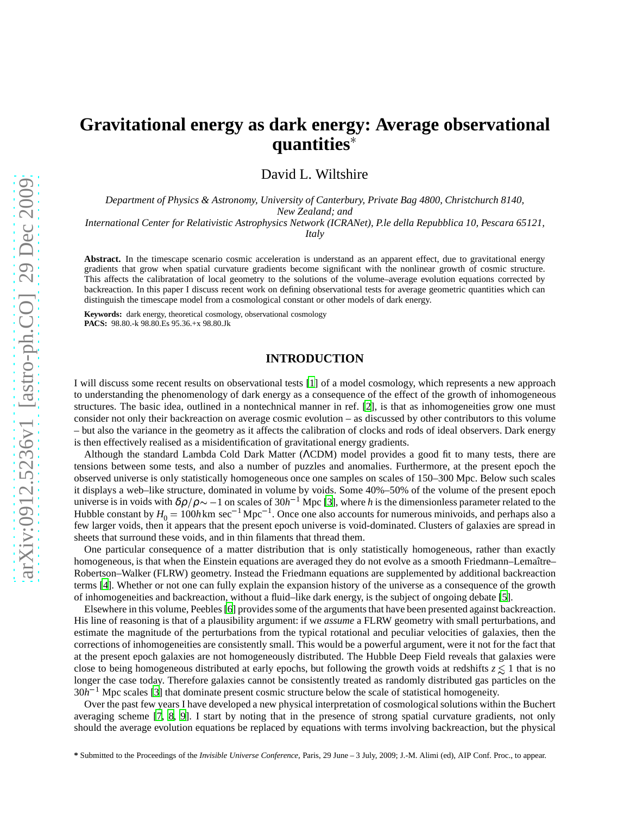# **Gravitational energy as dark energy: Average observational quantities**

David L. Wiltshire

*Department of Physics & Astronomy, University of Canterbury, Private Bag 4800, Christchurch 8140, New Zealand; and*

*International Center for Relativistic Astrophysics Network (ICRANet), P.le della Repubblica 10, Pescara 65121,*

*Italy*

**Abstract.** In the timescape scenario cosmic acceleration is understand as an apparent effect, due to gravitational energy gradients that grow when spatial curvature gradients become significant with the nonlinear growth of cosmic structure. This affects the calibratation of local geometry to the solutions of the volume–average evolution equations corrected by backreaction. In this paper I discuss recent work on defining observational tests for average geometric quantities which can distinguish the timescape model from a cosmological constant or other models of dark energy.

**Keywords:** dark energy, theoretical cosmology, observational cosmology **PACS:** 98.80.-k 98.80.Es 95.36.+x 98.80.Jk

# **INTRODUCTION**

I will discuss some recent results on observational tests [\[1\]](#page-9-0) of a model cosmology, which represents a new approach to understanding the phenomenology of dark energy as a consequence of the effect of the growth of inhomogeneous structures. The basic idea, outlined in a nontechnical manner in ref. [\[2\]](#page-9-1), is that as inhomogeneities grow one must consider not only their backreaction on average cosmic evolution – as discussed by other contributors to this volume – but also the variance in the geometry as it affects the calibration of clocks and rods of ideal observers. Dark energy is then effectively realised as a misidentification of gravitational energy gradients.

Although the standard Lambda Cold Dark Matter (ΛCDM) model provides a good fit to many tests, there are tensions between some tests, and also a number of puzzles and anomalies. Furthermore, at the present epoch the observed universe is only statistically homogeneous once one samples on scales of 150–300 Mpc. Below such scales it displays a web–like structure, dominated in volume by voids. Some 40%–50% of the volume of the present epoch universe is in voids with  $\delta\rho/\rho \sim -1$  on scales of  $30h^{-1}$  Mpc [\[3\]](#page-9-2), where *h* is the dimensionless parameter related to the Hubble constant by  $H_0 = 100h$  km sec<sup>-1</sup> Mpc<sup>-1</sup>. Once one also accounts for numerous minivoids, and perhaps also a few larger voids, then it appears that the present epoch universe is void-dominated. Clusters of galaxies are spread in sheets that surround these voids, and in thin filaments that thread them.

One particular consequence of a matter distribution that is only statistically homogeneous, rather than exactly homogeneous, is that when the Einstein equations are averaged they do not evolve as a smooth Friedmann–Lemaître– Robertson–Walker (FLRW) geometry. Instead the Friedmann equations are supplemented by additional backreaction terms [\[4](#page-9-3)]. Whether or not one can fully explain the expansion history of the universe as a consequence of the growth of inhomogeneities and backreaction, without a fluid–like dark energy, is the subject of ongoing debate [\[5](#page-9-4)].

Elsewhere in this volume, Peebles [\[6](#page-9-5)] provides some of the arguments that have been presented against backreaction. His line of reasoning is that of a plausibility argument: if we *assume* a FLRW geometry with small perturbations, and estimate the magnitude of the perturbations from the typical rotational and peculiar velocities of galaxies, then the corrections of inhomogeneities are consistently small. This would be a powerful argument, were it not for the fact that at the present epoch galaxies are not homogeneously distributed. The Hubble Deep Field reveals that galaxies were close to being homogeneous distributed at early epochs, but following the growth voids at redshifts  $z \lesssim 1$  that is no longer the case today. Therefore galaxies cannot be consistently treated as randomly distributed gas particles on the 30*h* <sup>1</sup> Mpc scales [\[3\]](#page-9-2) that dominate present cosmic structure below the scale of statistical homogeneity.

Over the past few years I have developed a new physical interpretation of cosmological solutions within the Buchert averaging scheme [\[7](#page-9-6), [8,](#page-9-7) [9\]](#page-9-8). I start by noting that in the presence of strong spatial curvature gradients, not only should the average evolution equations be replaced by equations with terms involving backreaction, but the physical

**<sup>\*</sup>** Submitted to the Proceedings of the *Invisible Universe Conference*, Paris, 29 June – 3 July, 2009; J.-M. Alimi (ed), AIP Conf. Proc., to appear.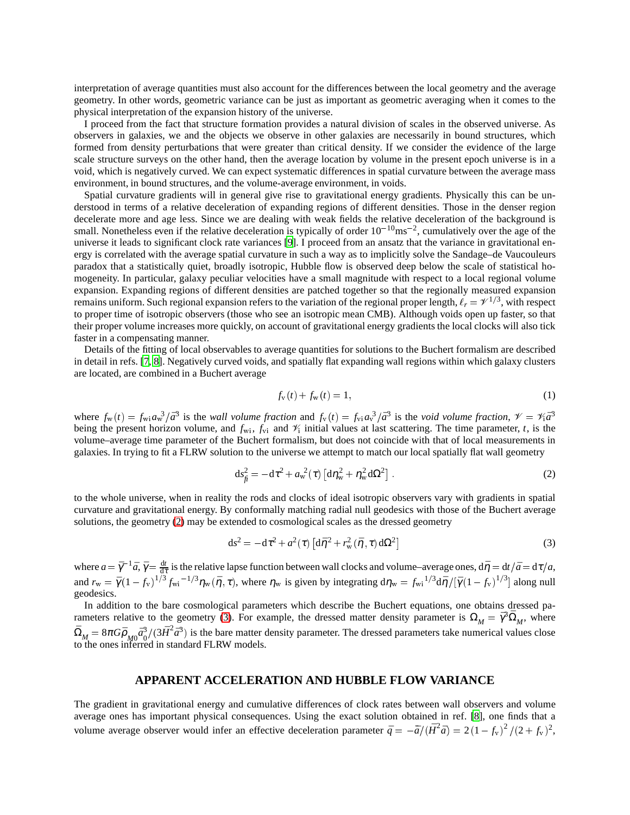interpretation of average quantities must also account for the differences between the local geometry and the average geometry. In other words, geometric variance can be just as important as geometric averaging when it comes to the physical interpretation of the expansion history of the universe.

I proceed from the fact that structure formation provides a natural division of scales in the observed universe. As observers in galaxies, we and the objects we observe in other galaxies are necessarily in bound structures, which formed from density perturbations that were greater than critical density. If we consider the evidence of the large scale structure surveys on the other hand, then the average location by volume in the present epoch universe is in a void, which is negatively curved. We can expect systematic differences in spatial curvature between the average mass environment, in bound structures, and the volume-average environment, in voids.

Spatial curvature gradients will in general give rise to gravitational energy gradients. Physically this can be understood in terms of a relative deceleration of expanding regions of different densities. Those in the denser region decelerate more and age less. Since we are dealing with weak fields the relative deceleration of the background is small. Nonetheless even if the relative deceleration is typically of order  $10^{-10}$ ms<sup>-2</sup>, cumulatively over the age of the universe it leads to significant clock rate variances [\[9\]](#page-9-8). I proceed from an ansatz that the variance in gravitational energy is correlated with the average spatial curvature in such a way as to implicitly solve the Sandage–de Vaucouleurs paradox that a statistically quiet, broadly isotropic, Hubble flow is observed deep below the scale of statistical homogeneity. In particular, galaxy peculiar velocities have a small magnitude with respect to a local regional volume expansion. Expanding regions of different densities are patched together so that the regionally measured expansion remains uniform. Such regional expansion refers to the variation of the regional proper length,  $\ell_r = \mathcal{V}^{1/3}$ , with respect to proper time of isotropic observers (those who see an isotropic mean CMB). Although voids open up faster, so that their proper volume increases more quickly, on account of gravitational energy gradients the local clocks will also tick faster in a compensating manner.

Details of the fitting of local observables to average quantities for solutions to the Buchert formalism are described in detail in refs. [\[7,](#page-9-6) [8\]](#page-9-7). Negatively curved voids, and spatially flat expanding wall regions within which galaxy clusters are located, are combined in a Buchert average

$$
f_{v}(t) + f_{w}(t) = 1,
$$
\n(1)

where  $f_w(t) = f_{w1} a_w^3 / \bar{a}^3$  is the *wall volume fraction* and  $f_v(t) = f_{vi} a_v^3 / \bar{a}^3$  is the *void volume fraction*,  $\mathcal{V} = \mathcal{V}_1 \bar{a}^3$ being the present horizon volume, and  $f_{wi}$ ,  $f_{vi}$  and  $\mathcal{V}_i$  initial values at last scattering. The time parameter, *t*, is the volume–average time parameter of the Buchert formalism, but does not coincide with that of local measurements in galaxies. In trying to fit a FLRW solution to the universe we attempt to match our local spatially flat wall geometry

<span id="page-1-0"></span>
$$
ds_{f\bar{f}}^{2} = -d\tau^{2} + a_{w}^{2}(\tau) \left[ d\eta_{w}^{2} + \eta_{w}^{2} d\Omega^{2} \right].
$$
 (2)

to the whole universe, when in reality the rods and clocks of ideal isotropic observers vary with gradients in spatial curvature and gravitational energy. By conformally matching radial null geodesics with those of the Buchert average solutions, the geometry [\(2\)](#page-1-0) may be extended to cosmological scales as the dressed geometry

<span id="page-1-1"></span>
$$
ds^2 = -d\tau^2 + a^2(\tau) \left[ d\bar{\eta}^2 + r_w^2(\bar{\eta}, \tau) d\Omega^2 \right]
$$
 (3)

where  $a = \bar{\gamma}^{-1}\bar{a}$ ,  $\bar{\gamma} = \frac{d\bar{t}}{d\tau}$  is the relative lapse function between wall clocks and volume–average ones,  $d\bar{\eta} = dt/\bar{a} = d\tau/a$ , and  $r_w = \bar{\gamma} (1 - f_v)^{1/3} f_{w_i}^{-1/3} \eta_w(\bar{\eta}, \tau)$ , where  $\eta_w$  is given by integrating  $d\eta_w = f_{w_i}^{-1/3} d\bar{\eta}/[\bar{\gamma} (1 - f_v)^{1/3}]$  along null geodesics.

In addition to the bare cosmological parameters which describe the Buchert equations, one obtains dressed pa-rameters relative to the geometry [\(3\)](#page-1-1). For example, the dressed matter density parameter is  $\Omega_M = \bar{\gamma}^3 \bar{\Omega}_M$ , where  $\Omega_M = 8\pi G \bar{\rho}_{M0} \bar{a}_0^3/(3\bar{H}^2 \bar{a}^3)$  is the bare matter density parameter. The dressed parameters take numerical value  $\frac{3}{2}$  $\left(3\bar{H}^2\bar{a}^3\right)$  is the bare matter density parameter. The dressed parameters take numerical values close to the ones inferred in standard FLRW models.

# **APPARENT ACCELERATION AND HUBBLE FLOW VARIANCE**

The gradient in gravitational energy and cumulative differences of clock rates between wall observers and volume average ones has important physical consequences. Using the exact solution obtained in ref. [\[8\]](#page-9-7), one finds that a volume average observer would infer an effective deceleration parameter  $\bar{q} = -\frac{\ddot{a}}{H}(\bar{H}^2 \bar{a}) = 2(1 - f_v)^2/(2 + f_v)^2$ ,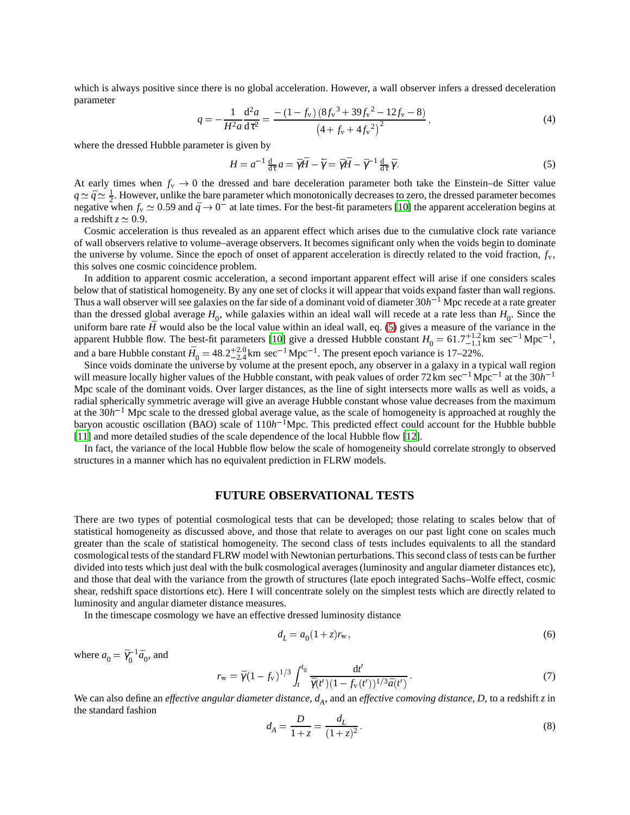which is always positive since there is no global acceleration. However, a wall observer infers a dressed deceleration parameter

$$
q = -\frac{1}{H^2 a} \frac{d^2 a}{d\tau^2} = \frac{-\left(1 - f_v\right) \left(8 f_v^3 + 39 f_v^2 - 12 f_v - 8\right)}{\left(4 + f_v + 4 f_v^2\right)^2},\tag{4}
$$

where the dressed Hubble parameter is given by

<span id="page-2-0"></span>
$$
H = a^{-1} \frac{d}{d\tau} a = \bar{\gamma}\bar{H} - \dot{\bar{\gamma}} = \bar{\gamma}\bar{H} - \bar{\gamma}^{-1} \frac{d}{d\tau}\bar{\gamma}.
$$
 (5)

At early times when  $f_v \to 0$  the dressed and bare deceleration parameter both take the Einstein–de Sitter value  $q \approx \bar{q} \approx \frac{1}{2}$ . However, unlike the bare parameter which monotonically decreases to zero, the dressed parameter becomes negative when  $f_v \approx 0.59$  and  $\bar{q} \to 0^-$  at late times. For the best-fit parameters [\[10\]](#page-9-9) the apparent acceleration begins at a redshift  $z \approx 0.9$ .

Cosmic acceleration is thus revealed as an apparent effect which arises due to the cumulative clock rate variance of wall observers relative to volume–average observers. It becomes significant only when the voids begin to dominate the universe by volume. Since the epoch of onset of apparent acceleration is directly related to the void fraction, *f*v, this solves one cosmic coincidence problem.

In addition to apparent cosmic acceleration, a second important apparent effect will arise if one considers scales below that of statistical homogeneity. By any one set of clocks it will appear that voids expand faster than wall regions. Thus a wall observer will see galaxies on the far side of a dominant void of diameter 30*h* <sup>1</sup> Mpc recede at a rate greater than the dressed global average  $H_0$ , while galaxies within an ideal wall will recede at a rate less than  $H_0$ . Since the uniform bare rate  $\bar{H}$  would also be the local value within an ideal wall, eq. [\(5\)](#page-2-0) gives a measure of the variance in the apparent Hubble flow. The best-fit parameters [\[10\]](#page-9-9) give a dressed Hubble constant  $H_0 = 61.7^{+1.2}_{-1.1}$  km sec<sup>-1</sup> Mpc<sup>-1</sup>, and a bare Hubble constant  $\bar{H}_0 = 48.2^{+2.0}_{-2.4}$  km sec<sup>-1</sup> Mpc<sup>-1</sup>. The present epoch variance is 17–22%.

Since voids dominate the universe by volume at the present epoch, any observer in a galaxy in a typical wall region will measure locally higher values of the Hubble constant, with peak values of order  $72 \text{km} \text{ sec}^{-1} \text{Mpc}^{-1}$  at the  $30h^{-1}$ Mpc scale of the dominant voids. Over larger distances, as the line of sight intersects more walls as well as voids, a radial spherically symmetric average will give an average Hubble constant whose value decreases from the maximum at the 30*h*<sup>-1</sup> Mpc scale to the dressed global average value, as the scale of homogeneity is approached at roughly the baryon acoustic oscillation (BAO) scale of  $110h^{-1}$ Mpc. This predicted effect could account for the Hubble bubble [\[11](#page-9-10)] and more detailed studies of the scale dependence of the local Hubble flow [\[12\]](#page-9-11).

In fact, the variance of the local Hubble flow below the scale of homogeneity should correlate strongly to observed structures in a manner which has no equivalent prediction in FLRW models.

### **FUTURE OBSERVATIONAL TESTS**

There are two types of potential cosmological tests that can be developed; those relating to scales below that of statistical homogeneity as discussed above, and those that relate to averages on our past light cone on scales much greater than the scale of statistical homogeneity. The second class of tests includes equivalents to all the standard cosmological tests of the standard FLRW model with Newtonian perturbations. This second class of tests can be further divided into tests which just deal with the bulk cosmological averages (luminosity and angular diameter distances etc), and those that deal with the variance from the growth of structures (late epoch integrated Sachs–Wolfe effect, cosmic shear, redshift space distortions etc). Here I will concentrate solely on the simplest tests which are directly related to luminosity and angular diameter distance measures.

In the timescape cosmology we have an effective dressed luminosity distance

$$
d_L = a_0 (1 + z) r_w, \t\t(6)
$$

where  $a_0 = \bar{\gamma}_0^{-1}$  $\overline{a}_0^{-1}\overline{a}_0$ , and

$$
r_{\rm w} = \bar{\gamma} (1 - f_{\rm v})^{1/3} \int_{t}^{t_0} \frac{\mathrm{d}t'}{\bar{\gamma}(t') (1 - f_{\rm v}(t'))^{1/3} \bar{a}(t')} \,. \tag{7}
$$

We can also define an *effective angular diameter distance*,  $d_A$ , and an *effective comoving distance*,  $D$ , to a redshift  $z$  in the standard fashion

$$
d_A = \frac{D}{1+z} = \frac{d_L}{(1+z)^2}.
$$
 (8)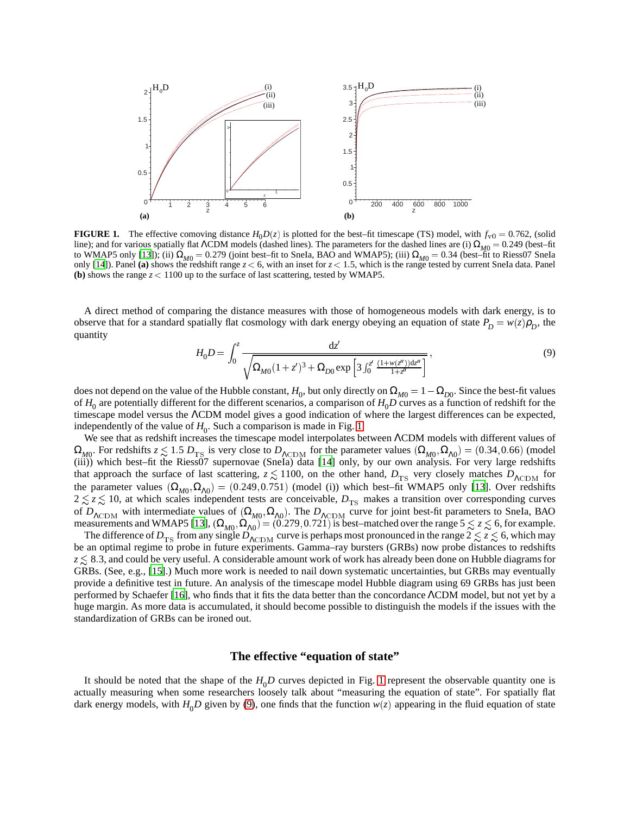

<span id="page-3-0"></span>**FIGURE 1.** The effective comoving distance  $H_0D(z)$  is plotted for the best–fit timescape (TS) model, with  $f_{v0} = 0.762$ , (solid line); and for various spatially flat ΛCDM models (dashed lines). The parameters for the dashed lines are (i)  $\Omega_{M0} = 0.249$  (best–fit to WMAP5 only [\[13\]](#page-9-12)); (ii)  $\Omega_{M0} = 0.279$  (joint best–fit to SneIa, BAO and WMAP5); (iii)  $\Omega_{M0} = 0.34$  (best–fit to Riess07 SneIa<br>only [\[14\]](#page-9-13)). Panel (a) shows the redshift range  $z < 6$ , with an inset for  $z < 1.5$ , which **(b)** shows the range  $z < 1100$  up to the surface of last scattering, tested by WMAP5.

A direct method of comparing the distance measures with those of homogeneous models with dark energy, is to observe that for a standard spatially flat cosmology with dark energy obeying an equation of state  $P_D = w(z)\rho_D$ , the quantity

<span id="page-3-1"></span>
$$
H_0 D = \int_0^z \frac{dz'}{\sqrt{\Omega_{M0}(1+z')^3 + \Omega_{D0} \exp\left[3 \int_0^{z'} \frac{(1+w(z''))dz''}{1+z'}\right]}}\,,\tag{9}
$$

does not depend on the value of the Hubble constant,  $H_0$ , but only directly on  $\Omega_{M0}=1-\Omega_{D0}$ . Since the best-fit values of  $H_0$  are potentially different for the different scenarios, a comparison of  $H_0D$  curves as a function of redshift for the timescape model versus the ΛCDM model gives a good indication of where the largest differences can be expected, independently of the value of  $H_0$ . Such a comparison is made in Fig. [1.](#page-3-0)

We see that as redshift increases the timescape model interpolates between ΛCDM models with different values of  $\Omega_{M0}$ . For redshifts  $z \lesssim 1.5 D_{TS}$  is very close to  $D_{\Lambda \rm{CDM}}$  for the parameter values  $(\Omega_{M0}, \Omega_{\Lambda 0}) = (0.34, 0.66)$  (model (iii)) which best–fit the Riess07 supernovae (SneIa) data [\[14\]](#page-9-13) only, by our own analysis. For very large redshifts that approach the surface of last scattering,  $z \lesssim 1100$ , on the other hand,  $D_{\rm TS}$  very closely matches  $D_{\Lambda{\rm CDM}}$  for the parameter values  $(\Omega_{M0}, \Omega_{A0}) = (0.249, 0.751)$  (model (i)) which best–fit WMAP5 only [\[13\]](#page-9-12). Over redshifts  $2 \lesssim z \lesssim 10$ , at which scales independent tests are conceivable,  $D_{TS}$  makes a transition over corresponding curves of  $D_{\Lambda \text{CDM}}$  with intermediate values of  $(\Omega_{M0}, \Omega_{\Lambda0})$ . The  $D_{\Lambda \text{CDM}}$  curve for joint best-fit parameters to SneIa, BAO measurements and WMAP5 [\[13\]](#page-9-12),  $(\Omega_{M0}, \Omega_{\Lambda0}) = (0.279, 0.721)$  is best–matched over the range  $5 \le z \le 6$ , for example.

The difference of  $D_{TS}$  from any single  $D_{\Lambda\rm CDM}$  curve is perhaps most pronounced in the range  $2 \le z \le 6$ , which may be an optimal regime to probe in future experiments. Gamma–ray bursters (GRBs) now probe distances to redshifts  $z\lesssim8.3,$  and could be very useful. A considerable amount work of work has already been done on Hubble diagrams for GRBs. (See, e.g., [\[15\]](#page-9-14).) Much more work is needed to nail down systematic uncertainties, but GRBs may eventually provide a definitive test in future. An analysis of the timescape model Hubble diagram using 69 GRBs has just been performed by Schaefer [\[16](#page-9-15)], who finds that it fits the data better than the concordance ΛCDM model, but not yet by a huge margin. As more data is accumulated, it should become possible to distinguish the models if the issues with the standardization of GRBs can be ironed out.

# **The effective "equation of state"**

It should be noted that the shape of the  $H_0D$  curves depicted in Fig. [1](#page-3-0) represent the observable quantity one is actually measuring when some researchers loosely talk about "measuring the equation of state". For spatially flat dark energy models, with  $H_0D$  given by [\(9\)](#page-3-1), one finds that the function  $w(z)$  appearing in the fluid equation of state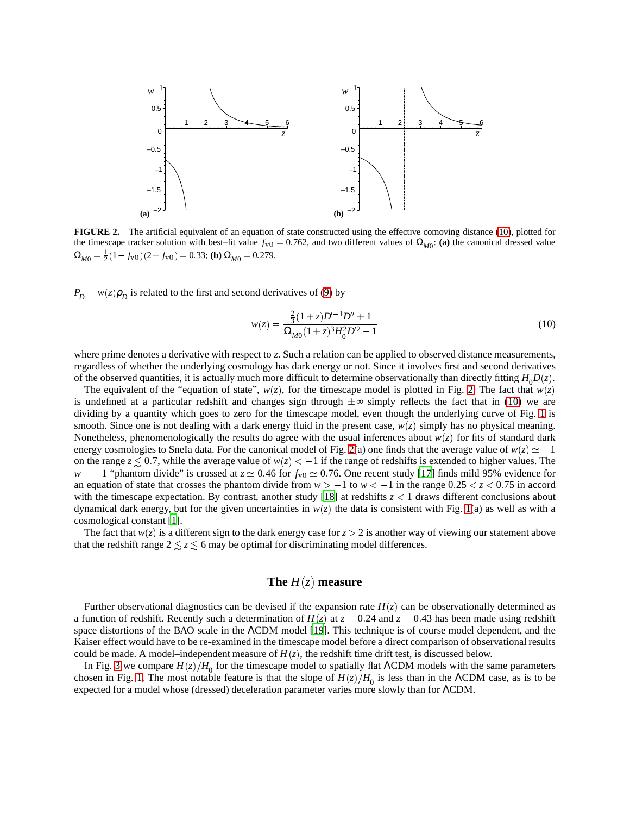

<span id="page-4-1"></span>**FIGURE 2.** The artificial equivalent of an equation of state constructed using the effective comoving distance [\(10\)](#page-4-0), plotted for the timescape tracker solution with best–fit value  $f_{v0} = 0.762$ , and two different values of  $\Omega_{M0}$ : (a) the canonical dressed value  $\Omega_{M0} = \frac{1}{2}(1 - f_{v0})(2 + f_{v0}) = 0.33$ ; **(b)**  $\Omega_{M0} = 0.279$ .

 $P_D = w(z)\rho_D$  is related to the first and second derivatives of [\(9\)](#page-3-1) by

<span id="page-4-0"></span>
$$
w(z) = \frac{\frac{2}{3}(1+z)D^{-1}D'' + 1}{\Omega_{M0}(1+z)^3 H_0^2 D'^2 - 1}
$$
\n(10)

where prime denotes a derivative with respect to *z*. Such a relation can be applied to observed distance measurements, regardless of whether the underlying cosmology has dark energy or not. Since it involves first and second derivatives of the observed quantities, it is actually much more difficult to determine observationally than directly fitting  $H_0D(z)$ .

The equivalent of the "equation of state",  $w(z)$ , for the timescape model is plotted in Fig. [2.](#page-4-1) The fact that  $w(z)$ is undefined at a particular redshift and changes sign through  $\pm \infty$  simply reflects the fact that in [\(10\)](#page-4-0) we are dividing by a quantity which goes to zero for the timescape model, even though the underlying curve of Fig. [1](#page-3-0) is smooth. Since one is not dealing with a dark energy fluid in the present case, *w*(*z*) simply has no physical meaning. Nonetheless, phenomenologically the results do agree with the usual inferences about  $w(z)$  for fits of standard dark energy cosmologies to SneIa data. For the canonical model of Fig. [2\(](#page-4-1)a) one finds that the average value of  $w(z) \simeq -1$ on the range  $z \lesssim 0.7$ , while the average value of  $w(z) < -1$  if the range of redshifts is extended to higher values. The  $w = -1$  "phantom divide" is crossed at  $z \approx 0.46$  for  $f_{v0} \approx 0.76$ . One recent study [\[17](#page-9-16)] finds mild 95% evidence for an equation of state that crosses the phantom divide from  $w > -1$  to  $w < -1$  in the range  $0.25 < z < 0.75$  in accord with the timescape expectation. By contrast, another study [\[18](#page-9-17)] at redshifts  $z < 1$  draws different conclusions about dynamical dark energy, but for the given uncertainties in *w*(*z*) the data is consistent with Fig. [1\(](#page-3-0)a) as well as with a cosmological constant [\[1\]](#page-9-0).

The fact that  $w(z)$  is a different sign to the dark energy case for  $z > 2$  is another way of viewing our statement above that the redshift range  $2 \lesssim z \lesssim 6$  may be optimal for discriminating model differences.

### **The**  $H(z)$  **measure**

Further observational diagnostics can be devised if the expansion rate  $H(z)$  can be observationally determined as a function of redshift. Recently such a determination of  $H(z)$  at  $z = 0.24$  and  $z = 0.43$  has been made using redshift space distortions of the BAO scale in the ΛCDM model [\[19\]](#page-9-18). This technique is of course model dependent, and the Kaiser effect would have to be re-examined in the timescape model before a direct comparison of observational results could be made. A model–independent measure of  $H(z)$ , the redshift time drift test, is discussed below.

In Fig. [3](#page-5-0) we compare  $H(z)/H_0$  for the timescape model to spatially flat ΛCDM models with the same parameters chosen in Fig. [1.](#page-3-0) The most notable feature is that the slope of  $H(z)/H_0$  is less than in the  $\Lambda$ CDM case, as is to be expected for a model whose (dressed) deceleration parameter varies more slowly than for ΛCDM.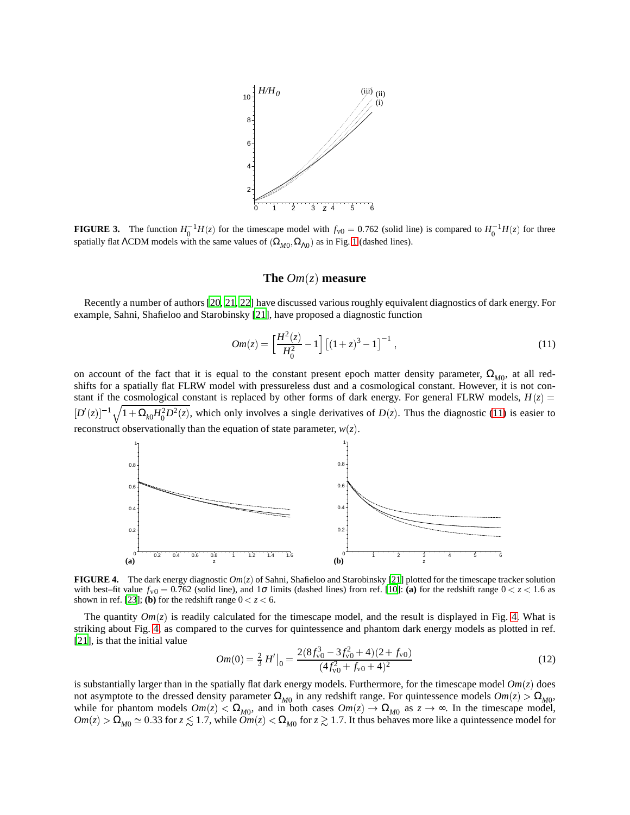

<span id="page-5-0"></span>**FIGURE 3.** The function  $H_0^{-1}H(z)$  for the timescape model with  $f_{v0} = 0.762$  (solid line) is compared to  $H_0^{-1}H(z)$  for three spatially flat  $\Lambda$ CDM models with the same values of  $(\Omega_{M0}, \Omega_{\Lambda0})$  as in Fig. [1](#page-3-0) (dashed lines).

# **The** *Om*(*z*) **measure**

Recently a number of authors [\[20](#page-9-19), [21,](#page-9-20) [22\]](#page-9-21) have discussed various roughly equivalent diagnostics of dark energy. For example, Sahni, Shafieloo and Starobinsky [\[21\]](#page-9-20), have proposed a diagnostic function

<span id="page-5-1"></span>
$$
Om(z) = \left[\frac{H^2(z)}{H_0^2} - 1\right] \left[(1+z)^3 - 1\right]^{-1},\tag{11}
$$

on account of the fact that it is equal to the constant present epoch matter density parameter,  $\Omega_{M0}$ , at all redshifts for a spatially flat FLRW model with pressureless dust and a cosmological constant. However, it is not constant if the cosmological constant is replaced by other forms of dark energy. For general FLRW models,  $H(z)$  =  $[D'(z)]^{-1} \sqrt{1 + \Omega_{k0} H_0^2 D^2(z)}$ , which only involves a single derivatives of  $D(z)$ . Thus the diagnostic [\(11\)](#page-5-1) is easier to  $\sim$ reconstruct observationally than the equation of state parameter,  $w(z)$ .



<span id="page-5-2"></span>**FIGURE 4.** The dark energy diagnostic *Om*(*z*) of Sahni, Shafieloo and Starobinsky [\[21\]](#page-9-20) plotted for the timescape tracker solution with best–fit value  $f_{v0} = 0.762$  (solid line), and 1 $\sigma$  limits (dashed lines) from ref. [\[10](#page-9-9)]: (a) for the redshift range  $0 < z < 1.6$  as shown in ref. [\[23](#page-9-22)]; **(b)** for the redshift range  $0 < z < 6$ .

The quantity  $Om(z)$  is readily calculated for the timescape model, and the result is displayed in Fig. [4.](#page-5-2) What is striking about Fig. [4,](#page-5-2) as compared to the curves for quintessence and phantom dark energy models as plotted in ref. [\[21](#page-9-20)], is that the initial value

$$
Om(0) = \frac{2}{3} H' \big|_{0} = \frac{2(8f_{\rm v0}^{3} - 3f_{\rm v0}^{2} + 4)(2 + f_{\rm v0})}{(4f_{\rm v0}^{2} + f_{\rm v0} + 4)^{2}}
$$
(12)

is substantially larger than in the spatially flat dark energy models. Furthermore, for the timescape model  $Om(z)$  does not asymptote to the dressed density parameter  $\Omega_{M0}$  in any redshift range. For quintessence models  $Om(z) > \Omega_{M0}$ , while for phantom models  $Om(z) < \Omega_{M0}$ , and in both cases  $Om(z) \to \Omega_{M0}$  as  $z \to \infty$ . In the timescape model,  $Om(z) > \Omega_{M0} \simeq 0.33$  for  $z \lesssim 1.7$ , while  $Om(z) < \Omega_{M0}$  for  $z \gtrsim 1.7$ . It thus behaves more like a quintessence model for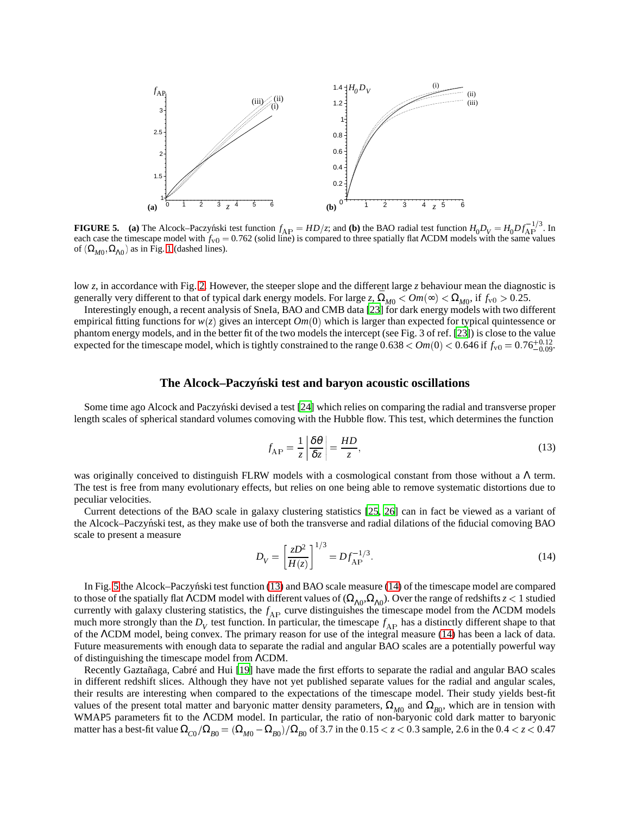

<span id="page-6-0"></span>**FIGURE 5.** (a) The Alcock–Paczynski test function  $f_{AP} = HD/z$ ; and (b) the BAO radial test function  $H_0 D_V = H_0 D f_{AP}^{-1/3}$ . In each case the timescape model with  $f_v = 0.762$  (solid line) is compared to three spatially flat  $\Lambda$ CDM models with the same values of  $(\Omega_{M0}, \Omega_{\Lambda0})$  as in Fig. [1](#page-3-0) (dashed lines).

low *z*, in accordance with Fig. [2.](#page-4-1) However, the steeper slope and the different large *z* behaviour mean the diagnostic is generally very different to that of typical dark energy models. For large  $z$ ,  $\overline{\Omega}_{M0}$  <  $Om(\infty) < \Omega_{M0}$ , if  $f_{\rm v0} > 0.25$ .

Interestingly enough, a recent analysis of SneIa, BAO and CMB data [\[23\]](#page-9-22) for dark energy models with two different empirical fitting functions for  $w(z)$  gives an intercept  $Om(0)$  which is larger than expected for typical quintessence or phantom energy models, and in the better fit of the two models the intercept (see Fig. 3 of ref. [\[23](#page-9-22)]) is close to the value expected for the timescape model, which is tightly constrained to the range  $0.638 < Om(0) < 0.646$  if  $f_{v0} = 0.76^{+0.12}_{-0.09}$ .

#### **The Alcock–Paczynski test and baryon acoustic oscillations ´**

Some time ago Alcock and Paczyński devised a test [\[24](#page-9-23)] which relies on comparing the radial and transverse proper length scales of spherical standard volumes comoving with the Hubble flow. This test, which determines the function

<span id="page-6-1"></span>
$$
f_{AP} = \frac{1}{z} \left| \frac{\delta \theta}{\delta z} \right| = \frac{HD}{z},\tag{13}
$$

was originally conceived to distinguish FLRW models with a cosmological constant from those without a Λ term. The test is free from many evolutionary effects, but relies on one being able to remove systematic distortions due to peculiar velocities.

Current detections of the BAO scale in galaxy clustering statistics [\[25,](#page-9-24) [26\]](#page-9-25) can in fact be viewed as a variant of the Alcock–Paczynski test, as they make use of both the transverse and radial dilations of the fiducial comoving BAO scale to present a measure

<span id="page-6-2"></span>
$$
D_V = \left[\frac{zD^2}{H(z)}\right]^{1/3} = Df_{\rm AP}^{-1/3}.\tag{14}
$$

In Fig. [5](#page-6-0) the Alcock–Paczynski test function  $(13)$  and BAO scale measure  $(14)$  of the timescape model are compared to those of the spatially flat  $\Lambda$ CDM model with different values of  $(\Omega_{\Lambda0},\Omega_{\Lambda0})$ . Over the range of redshifts  $z < 1$  studied currently with galaxy clustering statistics, the *f*<sub>AP</sub> curve distinguishes the timescape model from the ΛCDM models much more strongly than the  $D_V$  test function. In particular, the timescape  $f_{AP}$  has a distinctly different shape to that of the ΛCDM model, being convex. The primary reason for use of the integral measure [\(14\)](#page-6-2) has been a lack of data. Future measurements with enough data to separate the radial and angular BAO scales are a potentially powerful way of distinguishing the timescape model from ΛCDM.

Recently Gaztañaga, Cabré and Hui [\[19\]](#page-9-18) have made the first efforts to separate the radial and angular BAO scales in different redshift slices. Although they have not yet published separate values for the radial and angular scales, their results are interesting when compared to the expectations of the timescape model. Their study yields best-fit values of the present total matter and baryonic matter density parameters,  $\Omega_{M0}$  and  $\Omega_{B0}$ , which are in tension with WMAP5 parameters fit to the ΛCDM model. In particular, the ratio of non-baryonic cold dark matter to baryonic matter has a best-fit value  $\Omega_{C0}/\Omega_{B0}=(\Omega_{M0}-\Omega_{B0})/\Omega_{B0}$  of 3.7 in the  $0.15 < z < 0.3$  sample, 2.6 in the  $0.4 < z < 0.47$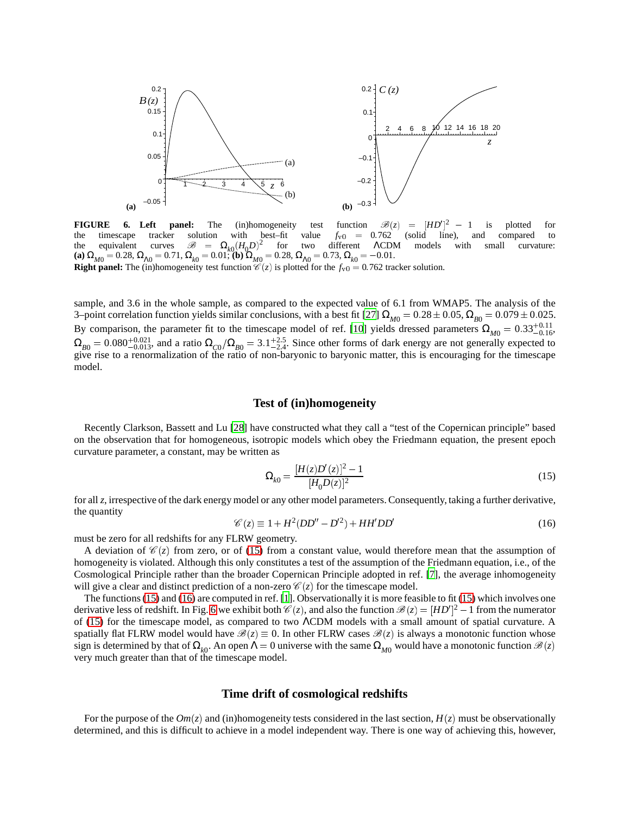

<span id="page-7-2"></span>**FIGURE 6. Left panel:** The (in)homogeneity test function  $\mathcal{B}(z)$  the timescape tracker solution with best–fit value  $f_{v0} = 0.762$  $\vert$ <sup>2</sup> 1 is plotted for the timescape tracker solution with best–fit value  $f_{v0} = 0.762$  (solid line), and compared to the equivalent curves  $\mathscr{B} = \Omega_{k0}$  $(H_0 D)^2$ for two different ΛCDM models with small curvature: **(a)**  $\Omega_{M0} = 0.28$ ,  $\Omega_{\Lambda 0} = 0.71$ ,  $\Omega_{k0} = 0.01$ ; **(b)**  $\Omega_{M0} = 0.28$ ,  $\Omega_{\Lambda 0} = 0.73$ ,  $\Omega_{k0} = -0.01$ . **Right panel:** The (in)homogeneity test function  $\mathcal{C}(z)$  is plotted for the  $f_v$ <sup>0</sup> = 0.762 tracker solution.

sample, and 3.6 in the whole sample, as compared to the expected value of 6.1 from WMAP5. The analysis of the 3–point correlation function yields similar conclusions, with a best fit [\[27\]](#page-9-26)  $\Omega_{M0} = 0.28 \pm 0.05$ ,  $\Omega_{B0} = 0.079 \pm 0.025$ . By comparison, the parameter fit to the timescape model of ref. [\[10](#page-9-9)] yields dressed parameters  $\Omega_{M0} = 0.33^{+0.11}_{-0.16}$  $\Omega_{B0} = 0.080^{+0.021}_{-0.013}$ , and a ratio  $\Omega_{C0}/\Omega_{B0} = 3.1^{+2.5}_{-2.4}$ . Since other forms of dark energy are not generally expected to give rise to a renormalization of the ratio of non-baryonic to baryonic matter, this is encouraging for the timescape model.

# **Test of (in)homogeneity**

Recently Clarkson, Bassett and Lu [\[28\]](#page-9-27) have constructed what they call a "test of the Copernican principle" based on the observation that for homogeneous, isotropic models which obey the Friedmann equation, the present epoch curvature parameter, a constant, may be written as

<span id="page-7-0"></span>
$$
\Omega_{k0} = \frac{[H(z)D'(z)]^2 - 1}{[H_0 D(z)]^2} \tag{15}
$$

for all *z*, irrespective of the dark energy model or any other model parameters. Consequently, taking a further derivative, the quantity

<span id="page-7-1"></span>
$$
\mathcal{C}(z) \equiv 1 + H^2 (DD'' - D'^2) + HH' DD'
$$
\n(16)

must be zero for all redshifts for any FLRW geometry.

A deviation of  $\mathcal{C}(z)$  from zero, or of [\(15\)](#page-7-0) from a constant value, would therefore mean that the assumption of homogeneity is violated. Although this only constitutes a test of the assumption of the Friedmann equation, i.e., of the Cosmological Principle rather than the broader Copernican Principle adopted in ref. [\[7\]](#page-9-6), the average inhomogeneity will give a clear and distinct prediction of a non-zero  $\mathcal{C}(z)$  for the timescape model.

The functions [\(15\)](#page-7-0) and [\(16\)](#page-7-1) are computed in ref. [\[1](#page-9-0)]. Observationally it is more feasible to fit [\(15\)](#page-7-0) which involves one derivative less of redshift. In Fig. [6](#page-7-2) we exhibit both  $\mathcal{C}(z)$ , and also the function  $\mathcal{B}(z) = [HD']^2 - 1$  from the numerator of [\(15\)](#page-7-0) for the timescape model, as compared to two ΛCDM models with a small amount of spatial curvature. A spatially flat FLRW model would have  $\mathcal{B}(z) \equiv 0$ . In other FLRW cases  $\mathcal{B}(z)$  is always a monotonic function whose sign is determined by that of  $\Omega_{k0}$ . An open  $\Lambda = 0$  universe with the same  $\Omega_{M0}$  would have a monotonic function  $\mathscr{B}(z)$ very much greater than that of the timescape model.

#### **Time drift of cosmological redshifts**

For the purpose of the  $Om(z)$  and (in)homogeneity tests considered in the last section,  $H(z)$  must be observationally determined, and this is difficult to achieve in a model independent way. There is one way of achieving this, however,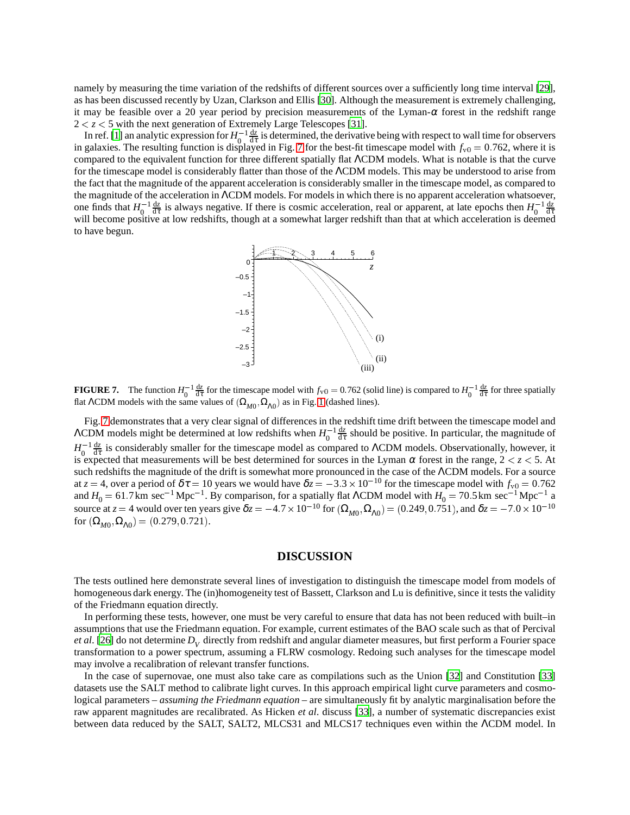namely by measuring the time variation of the redshifts of different sources over a sufficiently long time interval [\[29](#page-9-28)], as has been discussed recently by Uzan, Clarkson and Ellis [\[30\]](#page-9-29). Although the measurement is extremely challenging, it may be feasible over a 20 year period by precision measurements of the Lyman- $\alpha$  forest in the redshift range  $2 < z < 5$  with the next generation of Extremely Large Telescopes [\[31](#page-9-30)].

In ref. [\[1\]](#page-9-0) an analytic expression for  $H_0^{-1}$  $\mathbf{0}$  $\frac{dz}{d\tau}$  is determined, the derivative being with respect to wall time for observers in galaxies. The resulting function is displayed in Fig. [7](#page-8-0) for the best-fit timescape model with  $f_{v0} = 0.762$ , where it is compared to the equivalent function for three different spatially flat ΛCDM models. What is notable is that the curve for the timescape model is considerably flatter than those of the ΛCDM models. This may be understood to arise from the fact that the magnitude of the apparent acceleration is considerably smaller in the timescape model, as compared to the magnitude of the acceleration in ΛCDM models. For models in which there is no apparent acceleration whatsoever, one finds that  $H_0^{-1}$  $\overline{0}$  $\frac{dz}{d\tau}$  is always negative. If there is cosmic acceleration, real or apparent, at late epochs then  $H_0^{-1}$ 0 d*z* d<sup>τ</sup> will become positive at low redshifts, though at a somewhat larger redshift than that at which acceleration is deemed to have begun.



<span id="page-8-0"></span>**FIGURE 7.** The function  $H_0^{-1} \frac{dz}{d\tau}$  for the timescape model with  $f_{v0} = 0.762$  (solid line) is compared to  $H_0^{-1} \frac{dz}{d\tau}$  for three spatially flat  $\Lambda$ CDM models with the same values of  $(\Omega_{M0}, \Omega_{\Lambda0})$  as in Fig. [1](#page-3-0) (dashed lines).

Fig. [7](#page-8-0) demonstrates that a very clear signal of differences in the redshift time drift between the timescape model and  $\Lambda$ CDM models might be determined at low redshifts when  $H_0^{-1}$  $\mathbf{0}$  $\frac{dz}{d\tau}$  should be positive. In particular, the magnitude of  $H_0^{-1}$ 0  $\frac{dz}{d\tau}$  is considerably smaller for the timescape model as compared to  $\Lambda$ CDM models. Observationally, however, it is expected that measurements will be best determined for sources in the Lyman  $\alpha$  forest in the range,  $2 < z < 5$ . At such redshifts the magnitude of the drift is somewhat more pronounced in the case of the ΛCDM models. For a source at  $z = 4$ , over a period of  $\delta \tau = 10$  years we would have  $\delta z = -3.3 \times 10^{-10}$  for the timescape model with  $f_{v0} = 0.762$ and  $H_0 = 61.7$  km sec<sup>-1</sup> Mpc<sup>-1</sup>. By comparison, for a spatially flat  $\Lambda$ CDM model with  $H_0 = 70.5$  km sec<sup>-1</sup> Mpc<sup>-1</sup> a source at *z* = 4 would over ten years give  $δz = -4.7 \times 10^{-10}$  for  $(Ω_{M0}, Ω_{\Lambda 0}) = (0.249, 0.751)$ , and  $δz = -7.0 \times 10^{-10}$ for  $(\Omega_{M0}, \Omega_{\Lambda0}) = (0.279, 0.721)$ .

#### **DISCUSSION**

The tests outlined here demonstrate several lines of investigation to distinguish the timescape model from models of homogeneous dark energy. The (in)homogeneity test of Bassett, Clarkson and Lu is definitive, since it tests the validity of the Friedmann equation directly.

In performing these tests, however, one must be very careful to ensure that data has not been reduced with built–in assumptions that use the Friedmann equation. For example, current estimates of the BAO scale such as that of Percival *et al.* [\[26\]](#page-9-25) do not determine  $D_V$  directly from redshift and angular diameter measures, but first perform a Fourier space transformation to a power spectrum, assuming a FLRW cosmology. Redoing such analyses for the timescape model may involve a recalibration of relevant transfer functions.

In the case of supernovae, one must also take care as compilations such as the Union [\[32\]](#page-9-31) and Constitution [\[33\]](#page-9-32) datasets use the SALT method to calibrate light curves. In this approach empirical light curve parameters and cosmological parameters – *assuming the Friedmann equation* – are simultaneously fit by analytic marginalisation before the raw apparent magnitudes are recalibrated. As Hicken *et al*. discuss [\[33\]](#page-9-32), a number of systematic discrepancies exist between data reduced by the SALT, SALT2, MLCS31 and MLCS17 techniques even within the ΛCDM model. In